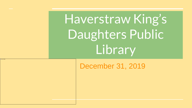Haverstraw King's Daughters Public Library

December 31, 2019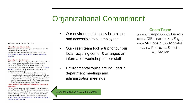## Organizational Commitment

- Our environmental policy is in place and accessible to all employees
	- Our green team took a trip to tour our local recycling center & arranged an information workshop for our staff

#### **Green Team**:

Catherine Campos, Claudia Depkin, Debbie DiBernardo, Terry Eagle, Nicola McDonald, Julio Morales, Annadora Pedro, Lori Salotto, Elyse Stoller

• Environmental topics are included in department meetings and administration meetings

Green team tips sent to staff bimonthly

Hello there from HKDPL's Green Team:

#### Tip of the week: Take the Stairs

Elevator usage contributes to a significant fraction of the total energy used in buildings today. Need a good reason to take the stairs? Here are six of them: https://www.vervwellhealth.com/reasons-to-take-the-stairs-2509609

#### **Green Tip #5 - Get Outdoors**

Monday will mark the first day of Autumn. Cooler temperatures are a perfect opportunity to be outside. Recent research is showing that spending time outdoors can improve mood, concentration, lower stress, and improve overall health. "Forest Bathing" is growing in popularity across the world. How can you get some outside time?

· Eat your lunch outside. At the Main Library we have a wonderful picnic bench outside the break room (thank you custodial staff!). At the Village Branch, munch on the stone wall, the benches overlooking the park, the benches in the park by the water, and then walk along the beach for some additional soothing sounds of water lapping.

#### Tip of the week: Discontinue the use of screen savers on all computers.

"Screen savers protect screens by providing moving images at times of user inactivity. The simplest way to protect a screen (if not in use) is to switch it off. Most screen savers use the same amount of energy as when the screen is in normal use. Some more sophisticated screen savers actually use more energy"

 $\sim$  https://www.environment.admin.cam.ac.uk/resources/mythbus ters-facts-top-tips/screens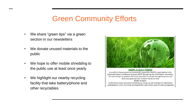## Green Community Efforts

- We share "green tips" via a green section in our newsletters
- We donate unused materials to the public
- We hope to offer mobile shredding to the public use at least once yearly
- We highlight our nearby recycling facility that take battery/phone and other recyclables



We want to keep you updated with various steps that we will take through the process and share some green tips that we share with all our staff. So far we have: - conducted an energy assessment identifying our energy use and strategies for adjustments. - participated in a tour of our local recycling facility to get a better sense of waste management.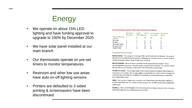## **Energy**

- We operate on about 15% LED lighting and have funding approval to upgrade to 100% by December 2020
- We have solar panel installed at our main branch
- Our thermostats operate on pre-set timers to monitor temperatures
- Restroom and other low use areas have auto on-off lighting sensors
- Printers are defaulted to 2-sided printing & screensavers have been discontinued

#### Haverstraw King's Daughters Public Library Environmental Metrics

|                                   | <b>ReUsed or</b><br>Recycled | <b>Books</b><br>Trees (lbs) $(g)$ | Water | Green-house<br>Gases (lbs) | Electricity<br>(kwh) |
|-----------------------------------|------------------------------|-----------------------------------|-------|----------------------------|----------------------|
| <b>End Destination</b><br>of Book |                              |                                   | 57    | 10                         | 16                   |
| Recycled                          |                              |                                   |       |                            |                      |
| Reused                            |                              |                                   | 52    |                            | 13                   |
| <b>Recycled Totals</b>            |                              |                                   |       |                            |                      |
| <b>Reused Totals</b>              |                              |                                   | 52    |                            |                      |
| <b>Grand Totals</b>               |                              |                                   | 57    | 10                         | 16                   |

#### **EXPLANATION OF DATA VALUES**

REUSED BOOKS - This category is made up of the sum of books sold and donated. The reuse of these books is considered waste prevention. Reducing the volume of waste we create results in limiting the environmental impact of disposal or recycling<sup>1</sup>.

RECYCLED BOOKS - Books we deem unsalable and not appropriate for donation to our participating literacy partners. Recycling books is termed waste reduction<sup>1</sup>. Our recyclers report that the efficiency of recycling a book yields 97% of that book as usable fiber.

POUNDS OF BOOKS - The average weight of the outbound books that Better World Books has processed is 1.37 pounds. This average weight is multiplied by the number of books categorized as ReUsed. Recycled books are multiplied by the efficiency rating of generating recycled fiber (see Usable Fiber below).

TREES - The number of typical trees assumes a mix of hardwoods and softwoods 6-8inches in diameter and 40feet tall. The number of trees saved per ton of 100% recycled fiber produced is twenty four<sup>2</sup>.

WATER (g) - There are 8,750 gallons of water saved per ton of paper produced when comparing 100% forest fiber sources to 100% postconsumer fiber<sup>2</sup>.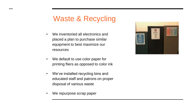## Waste & Recycling

- We inventoried all electronics and placed a plan to purchase similar equipment to best maximize our resources
- We default to use color paper for printing fliers as opposed to color ink
- We've installed recycling bins and educated staff and patrons on proper disposal of various waste
- We repurpose scrap paper

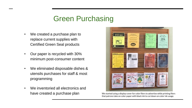## Green Purchasing

- We created a purchase plan to replace current supplies with Certified Green Seal products
- Our paper is recycled with 30% minimum post-consumer content
- We eliminated disposable dishes & utensils purchases for staff & most programming
- We inventoried all electronics and have created a purchase plan We started using a display cover for color fliers to advertise while printing fliers



that patrons take on color paper with black ink to cut down on color ink usage.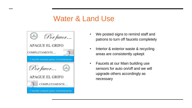### Water & Land Use



- We posted signs to remind staff and patrons to turn off faucets completely
- Interior & exterior waste & recycling areas are consistently upkept
- Faucets at our Main building use sensors for auto on/off and we will upgrade others accordingly as necessary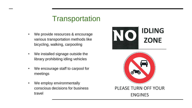## **Transportation**

- We provide resources & encourage various transportation methods like bicycling, walking, carpooling
- We installed signage outside the library prohibiting idling vehicles
- We encourage staff to carpool for meetings
- We employ environmentally conscious decisions for business travel



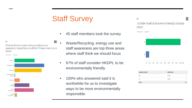# Staff Survey

- 45 staff members took the survey
- $\boxed{\circ}$ What are the top 4 areas where you believe your organization should focus its efforts? (Please check only 4 boxes)

Answered: 43 Skipped: 2

 $Q9$ 



- Waste/Recycling, energy use and staff awareness are top three areas where staff think we should focus
- 67% of staff consider HKDPL to be environmentally friendly
- 100% who answered said it is worthwhile for us to investigate ways to be more environmentally responsible.

03

I consider myself to be an environmentally conscious person.

Answered: 45 Skipped: 0



| <b>ANSWER CHOICES</b> | <b>RESPONSES</b> |    |
|-----------------------|------------------|----|
| Yes                   | 91,11%           | 41 |
| No                    | 8.89%            |    |
| <b>TOTAL</b>          |                  | 45 |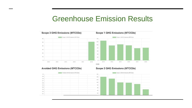### Greenhouse Emission Results





#### Scope 2 GHG Emissions (MTCO2e)

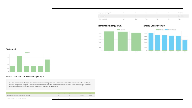| <b>Employee Commuting (miles)</b> |     |                         |     |     |     | 3817.0909  |
|-----------------------------------|-----|-------------------------|-----|-----|-----|------------|
| Waste (pounds)                    |     |                         |     |     |     | 3185049600 |
| Water Usage (ccf)                 | 864 | 2012/07/19 23:5<br>2254 | 800 | 780 | 770 | 1729       |

#### Renewable Energy (kWh)

#### **Energy Usage by Type**



Water (ccf)



#### Metric Tons of CO2e Emissions per sq. ft.

The ratio metric tons of CO2e per square foot shows the relative greenhouse gas emissions released per square foot of the building. It allows to compare the company performance over time independent of the increase or decrease in the size of the building/s. It provides an insight into how efficient the building/s are after the change in square footage.

|                                                       | 2013 | 2014 2015 2016 2017          |  | 2018   |
|-------------------------------------------------------|------|------------------------------|--|--------|
| Purchased Electricity metric tons of CO2e per sq. ft. |      | $0 \t 0 \t 0 \t 0 \t 2.4065$ |  | 1.0649 |
| Natural Gas metric tons of CO2e per sq. ft.           |      | 0 0 0 0 2.1968               |  | 2.281  |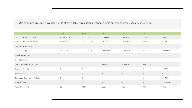Usage analysis reveals how many units of each activity releasing greenhouse gas emissions were used or consumed.

|                               | 2013        | 2014       | 2015       | 2016        | 2017      | 2018        |
|-------------------------------|-------------|------------|------------|-------------|-----------|-------------|
| <b>Energy Consumed Yearly</b> | 21506.1084  | 16958.52   | 17344.08   | 15316.32    | 12345     | 13952       |
| Purchased Electricity (kWh)   | 590079.6288 | 532658.368 | 505620     | 496473.4528 | 503961.92 | 346725.2544 |
| Heating Oil (gallons)         |             |            |            |             |           |             |
| Natural Gas (therms)          | 21443.7407  | 16225.9119 | 17481.0982 | 16396.1206  | 13327.662 | 13838.9888  |
| Propane (gallons)             |             |            |            |             |           |             |
| Diesel (gallons)              |             |            |            |             |           |             |
| Energy Avoided Yearly (kWh)   |             |            | 68616.29   | 67885.385   | 64027.525 |             |
| Business Travel (miles)       | $\circ$     | $\circ$    | 0          | $\circ$     | 0         | 4147.01     |
| Fleet (miles)                 | $\circ$     | $\circ$    | $\circ$    | $\circ$     | $\circ$   | $\circ$     |
| Employee Commuting (miles)    | $\circ$     | $\circ$    | $\circ$    | $\circ$     | $\circ$   | 3817.0909   |
| Waste (pounds)                | $\circ$     | $\circ$    | $\circ$    | $\circ$     | $\circ$   | 3185049600  |
| Water Usage (ccf)             | 864         | 2254       | 800        | 780         | 770       | 1729        |